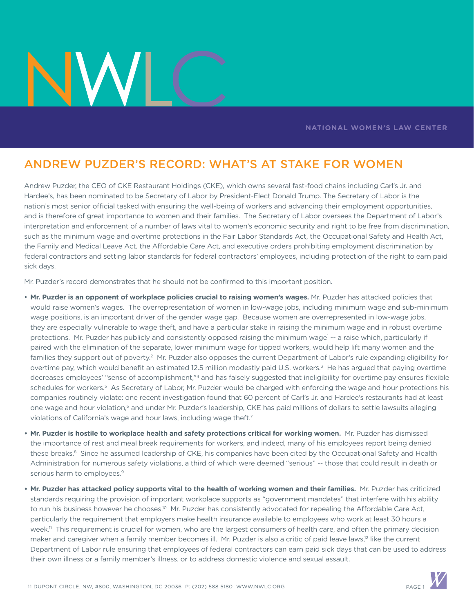## **NATIONAL WOMEN'S LAW CENTER**

## ANDREW PUZDER'S RECORD: WHAT'S AT STAKE FOR WOMEN

Andrew Puzder, the CEO of CKE Restaurant Holdings (CKE), which owns several fast-food chains including Carl's Jr. and Hardee's, has been nominated to be Secretary of Labor by President-Elect Donald Trump. The Secretary of Labor is the nation's most senior official tasked with ensuring the well-being of workers and advancing their employment opportunities, and is therefore of great importance to women and their families. The Secretary of Labor oversees the Department of Labor's interpretation and enforcement of a number of laws vital to women's economic security and right to be free from discrimination, such as the minimum wage and overtime protections in the Fair Labor Standards Act, the Occupational Safety and Health Act, the Family and Medical Leave Act, the Affordable Care Act, and executive orders prohibiting employment discrimination by federal contractors and setting labor standards for federal contractors' employees, including protection of the right to earn paid sick days.

Mr. Puzder's record demonstrates that he should not be confirmed to this important position.

- **Mr. Puzder is an opponent of workplace policies crucial to raising women's wages.** Mr. Puzder has attacked policies that would raise women's wages. The overrepresentation of women in low-wage jobs, including minimum wage and sub-minimum wage positions, is an important driver of the gender wage gap. Because women are overrepresented in low-wage jobs, they are especially vulnerable to wage theft, and have a particular stake in raising the minimum wage and in robust overtime protections. Mr. Puzder has publicly and consistently opposed raising the minimum wage<sup>1</sup> -- a raise which, particularly if paired with the elimination of the separate, lower minimum wage for tipped workers, would help lift many women and the families they support out of poverty.<sup>2</sup> Mr. Puzder also opposes the current Department of Labor's rule expanding eligibility for overtime pay, which would benefit an estimated 12.5 million modestly paid U.S. workers.<sup>3</sup> He has argued that paying overtime decreases employees' "sense of accomplishment,"4 and has falsely suggested that ineligibility for overtime pay ensures flexible schedules for workers.<sup>5</sup> As Secretary of Labor, Mr. Puzder would be charged with enforcing the wage and hour protections his companies routinely violate: one recent investigation found that 60 percent of Carl's Jr. and Hardee's restaurants had at least one wage and hour violation,<sup>6</sup> and under Mr. Puzder's leadership, CKE has paid millions of dollars to settle lawsuits alleging violations of California's wage and hour laws, including wage theft.<sup>7</sup>
- **Mr. Puzder is hostile to workplace health and safety protections critical for working women.** Mr. Puzder has dismissed the importance of rest and meal break requirements for workers, and indeed, many of his employees report being denied these breaks.<sup>8</sup> Since he assumed leadership of CKE, his companies have been cited by the Occupational Safety and Health Administration for numerous safety violations, a third of which were deemed "serious" -- those that could result in death or serious harm to employees.<sup>9</sup>
- **Mr. Puzder has attacked policy supports vital to the health of working women and their families.** Mr. Puzder has criticized standards requiring the provision of important workplace supports as "government mandates" that interfere with his ability to run his business however he chooses.<sup>10</sup> Mr. Puzder has consistently advocated for repealing the Affordable Care Act, particularly the requirement that employers make health insurance available to employees who work at least 30 hours a week.<sup>11</sup> This requirement is crucial for women, who are the largest consumers of health care, and often the primary decision maker and caregiver when a family member becomes ill. Mr. Puzder is also a critic of paid leave laws,<sup>12</sup> like the current Department of Labor rule ensuring that employees of federal contractors can earn paid sick days that can be used to address their own illness or a family member's illness, or to address domestic violence and sexual assault.

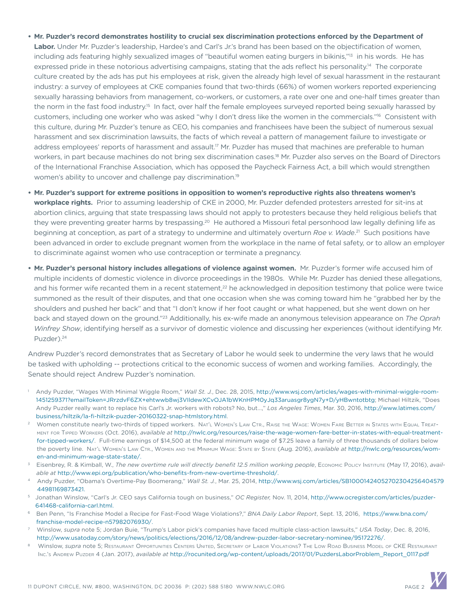- **Mr. Puzder's record demonstrates hostility to crucial sex discrimination protections enforced by the Department of**
- **Labor.** Under Mr. Puzder's leadership, Hardee's and Carl's Jr.'s brand has been based on the objectification of women, including ads featuring highly sexualized images of "beautiful women eating burgers in bikinis,"<sup>13</sup> in his words. He has expressed pride in these notorious advertising campaigns, stating that the ads reflect his personality.<sup>14</sup> The corporate culture created by the ads has put his employees at risk, given the already high level of sexual harassment in the restaurant industry: a survey of employees at CKE companies found that two-thirds (66%) of women workers reported experiencing sexually harassing behaviors from management, co-workers, or customers, a rate over one and one-half times greater than the norm in the fast food industry.<sup>15</sup> In fact, over half the female employees surveyed reported being sexually harassed by customers, including one worker who was asked "why I don't dress like the women in the commercials."16 Consistent with this culture, during Mr. Puzder's tenure as CEO, his companies and franchisees have been the subject of numerous sexual harassment and sex discrimination lawsuits, the facts of which reveal a pattern of management failure to investigate or address employees' reports of harassment and assault.<sup>17</sup> Mr. Puzder has mused that machines are preferable to human workers, in part because machines do not bring sex discrimination cases.18 Mr. Puzder also serves on the Board of Directors of the International Franchise Association, which has opposed the Paycheck Fairness Act, a bill which would strengthen women's ability to uncover and challenge pay discrimination.<sup>19</sup>
- **Mr. Puzder's support for extreme positions in opposition to women's reproductive rights also threatens women's workplace rights.** Prior to assuming leadership of CKE in 2000, Mr. Puzder defended protesters arrested for sit-ins at abortion clinics, arguing that state trespassing laws should not apply to protesters because they held religious beliefs that they were preventing greater harms by trespassing.<sup>20</sup> He authored a Missouri fetal personhood law legally defining life as beginning at conception, as part of a strategy to undermine and ultimately overturn *Roe v. Wade*. 21 Such positions have been advanced in order to exclude pregnant women from the workplace in the name of fetal safety, or to allow an employer to discriminate against women who use contraception or terminate a pregnancy.
- **Mr. Puzder's personal history includes allegations of violence against women.** Mr. Puzder's former wife accused him of multiple incidents of domestic violence in divorce proceedings in the 1980s. While Mr. Puzder has denied these allegations, and his former wife recanted them in a recent statement,<sup>22</sup> he acknowledged in deposition testimony that police were twice summoned as the result of their disputes, and that one occasion when she was coming toward him he "grabbed her by the shoulders and pushed her back" and that "I don't know if her foot caught or what happened, but she went down on her back and stayed down on the ground."23 Additionally, his ex-wife made an anonymous television appearance on *The Oprah Winfrey Show*, identifying herself as a survivor of domestic violence and discussing her experiences (without identifying Mr. Puzder).<sup>24</sup>

Andrew Puzder's record demonstrates that as Secretary of Labor he would seek to undermine the very laws that he would be tasked with upholding -- protections critical to the economic success of women and working families. Accordingly, the Senate should reject Andrew Puzder's nomination.

- <sup>1</sup> Andy Puzder, "Wages With Minimal Wiggle Room," *Wall St. J.*, Dec. 28, 2015, [http://www.wsj.com/articles/wages-with-minimal-wiggle-room-](http://www.wsj.com/articles/wages-with-minimal-wiggle-room-1451259371?emailToken=JRrzdvF6ZX+ehtwwb8wj3VIldewXCvOJA1bWKnHPM0yJq33aruasgr8ygN7y+D/yHBwntotbtg==)[1451259371?emailToken=JRrzdvF6ZX+ehtwwb8wj3VIldewXCvOJA1bWKnHPM0yJq33aruasgr8ygN7y+D/yHBwntotbtg](http://www.wsj.com/articles/wages-with-minimal-wiggle-room-1451259371?emailToken=JRrzdvF6ZX+ehtwwb8wj3VIldewXCvOJA1bWKnHPM0yJq33aruasgr8ygN7y+D/yHBwntotbtg==); Michael Hiltzik, "Does Andy Puzder really want to replace his Carl's Jr. workers with robots? No, but...," *Los Angeles Times*, Mar. 30, 2016, [http://www.latimes.com/](http://www.latimes.com/business/hiltzik/la-fi-hiltzik-puzder-20160322-snap-htmlstory.html.) [business/hiltzik/la-fi-hiltzik-puzder-20160322-snap-htmlstory.html.](http://www.latimes.com/business/hiltzik/la-fi-hiltzik-puzder-20160322-snap-htmlstory.html.)
- Women constitute nearly two-thirds of tipped workers. Nat'l Women's Law CTR., RAISE THE WAGE: WOMEN FARE BETTER IN STATES WITH EQUAL TREATment for Tipped Workers (Oct. 2016), *available at* [http://nwlc.org/resources/raise-the-wage-women-fare-better-in-states-with-equal-treatment](http://nwlc.org/resources/raise-the-wage-women-fare-better-in-states-with-equal-treatment-for-tipped-workers/)[for-tipped-workers/.](http://nwlc.org/resources/raise-the-wage-women-fare-better-in-states-with-equal-treatment-for-tipped-workers/) Full-time earnings of \$14,500 at the federal minimum wage of \$7.25 leave a family of three thousands of dollars below the poverty line. Nat'l Women's Law Ctr., Women and the Minimum Wage: State by State (Aug. 2016), *available at* [http://nwlc.org/resources/wom](http://nwlc.org/resources/women-and-minimum-wage-state-state/)[en-and-minimum-wage-state-state/](http://nwlc.org/resources/women-and-minimum-wage-state-state/).
- Eisenbrey, R. & Kimball, W., *The new overtime rule will directly benefit 12.5 million working people*, Economic Policy Institute (May 17, 2016), *available at* <http://www.epi.org/publication/who-benefits-from-new-overtime-threshold/>.
- 4 Andy Puzder, "Obama's Overtime-Pay Boomerang," *Wall St. J.*, Mar. 25, 2014, [http://www.wsj.com/articles/SB10001424052702304256404579](http://www.wsj.com/articles/SB1000142405270230425640457944981169873421) [44981169873421](http://www.wsj.com/articles/SB1000142405270230425640457944981169873421).
- 5 Jonathan Winslow, "Carl's Jr. CEO says California tough on business," *OC Register,* Nov. 11, 2014, [http://www.ocregister.com/articles/puzder-](http://www.ocregister.com/articles/puzder-641468-california-carl.html)[641468-california-carl.html](http://www.ocregister.com/articles/puzder-641468-california-carl.html).
- 6 Ben Penn, "Is Franchise Model a Recipe for Fast-Food Wage Violations?," *BNA Daily Labor Report*, Sept. 13, 2016, [https://www.bna.com/](https://www.bna.com/franchise-model-recipe-n57982076930/.  ) [franchise-model-recipe-n57982076930/.](https://www.bna.com/franchise-model-recipe-n57982076930/.  )
- <sup>7</sup> Winslow, *supra* note 5; Jordan Buie, "Trump's Labor pick's companies have faced multiple class-action lawsuits," *USA Today*, Dec. 8, 2016, [http://www.usatoday.com/story/news/politics/elections/2016/12/08/andrew-puzder-labor-secretary-nominee/95172276/.](http://www.usatoday.com/story/news/politics/elections/2016/12/08/andrew-puzder-labor-secretary-nominee/95172276/. )
- Winslow, *supra* note 5; Restaurant Opportunities Centers United, Secretary of Labor Violations? The Low Road Business Model of CKE Restaurant Inc.'s Andrew Puzder 4 (Jan. 2017), *available at* [http://rocunited.org/wp-content/uploads/2017/01/PuzdersLaborProblem\\_Report\\_0117.pdf](http://rocunited.org/wp-content/uploads/2017/01/PuzdersLaborProblem_Report_0117.pdf)